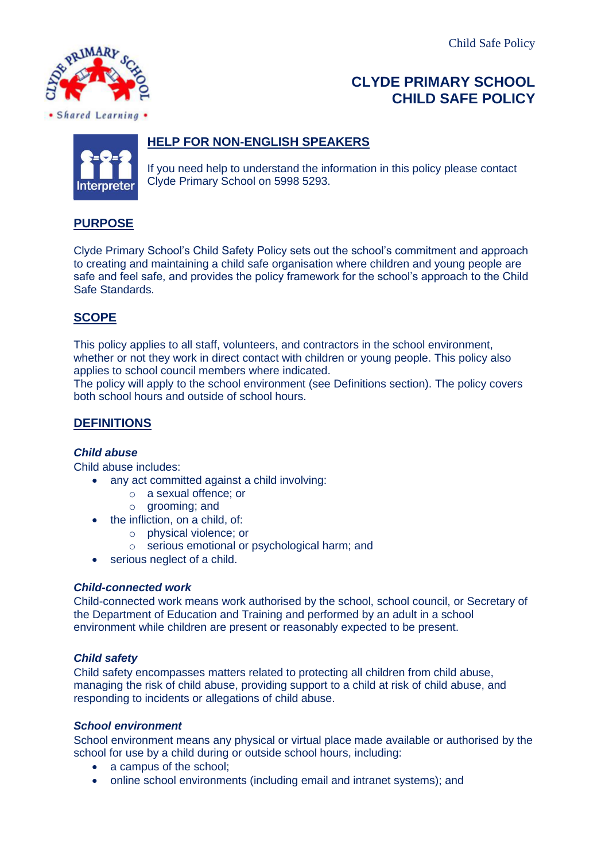Child Safe Policy



# **CLYDE PRIMARY SCHOOL CHILD SAFE POLICY**



# **HELP FOR NON-ENGLISH SPEAKERS**

If you need help to understand the information in this policy please contact Clyde Primary School on 5998 5293.

# **PURPOSE**

Clyde Primary School's Child Safety Policy sets out the school's commitment and approach to creating and maintaining a child safe organisation where children and young people are safe and feel safe, and provides the policy framework for the school's approach to the Child Safe Standards.

# **SCOPE**

This policy applies to all staff, volunteers, and contractors in the school environment, whether or not they work in direct contact with children or young people. This policy also applies to school council members where indicated.

The policy will apply to the school environment (see Definitions section). The policy covers both school hours and outside of school hours.

# **DEFINITIONS**

## *Child abuse*

Child abuse includes:

- any act committed against a child involving:
	- o a sexual offence; or
	- o grooming; and
- the infliction, on a child, of:
	- o physical violence; or
	- o serious emotional or psychological harm; and
- serious neglect of a child.

## *Child-connected work*

Child-connected work means work authorised by the school, school council, or Secretary of the Department of Education and Training and performed by an adult in a school environment while children are present or reasonably expected to be present.

## *Child safety*

Child safety encompasses matters related to protecting all children from child abuse, managing the risk of child abuse, providing support to a child at risk of child abuse, and responding to incidents or allegations of child abuse.

## *School environment*

School environment means any physical or virtual place made available or authorised by the school for use by a child during or outside school hours, including:

- a campus of the school;
- online school environments (including email and intranet systems); and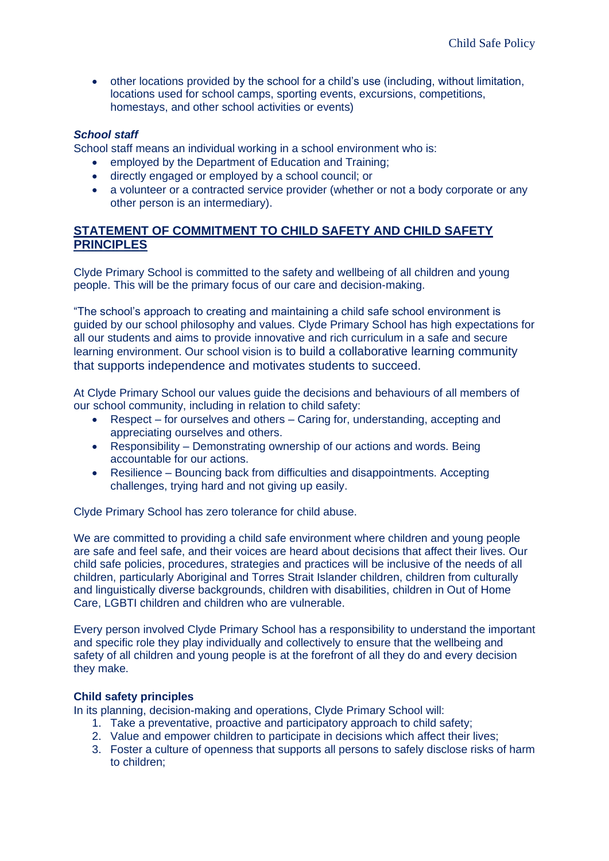• other locations provided by the school for a child's use (including, without limitation, locations used for school camps, sporting events, excursions, competitions, homestays, and other school activities or events)

## *School staff*

School staff means an individual working in a school environment who is:

- employed by the Department of Education and Training;
- directly engaged or employed by a school council; or
- a volunteer or a contracted service provider (whether or not a body corporate or any other person is an intermediary).

# **STATEMENT OF COMMITMENT TO CHILD SAFETY AND CHILD SAFETY PRINCIPLES**

Clyde Primary School is committed to the safety and wellbeing of all children and young people. This will be the primary focus of our care and decision-making.

"The school's approach to creating and maintaining a child safe school environment is guided by our school philosophy and values. Clyde Primary School has high expectations for all our students and aims to provide innovative and rich curriculum in a safe and secure learning environment. Our school vision is to build a collaborative learning community that supports independence and motivates students to succeed.

At Clyde Primary School our values guide the decisions and behaviours of all members of our school community, including in relation to child safety:

- Respect for ourselves and others Caring for, understanding, accepting and appreciating ourselves and others.
- Responsibility Demonstrating ownership of our actions and words. Being accountable for our actions.
- Resilience Bouncing back from difficulties and disappointments. Accepting challenges, trying hard and not giving up easily.

Clyde Primary School has zero tolerance for child abuse.

We are committed to providing a child safe environment where children and young people are safe and feel safe, and their voices are heard about decisions that affect their lives. Our child safe policies, procedures, strategies and practices will be inclusive of the needs of all children, particularly Aboriginal and Torres Strait Islander children, children from culturally and linguistically diverse backgrounds, children with disabilities, children in Out of Home Care, LGBTI children and children who are vulnerable.

Every person involved Clyde Primary School has a responsibility to understand the important and specific role they play individually and collectively to ensure that the wellbeing and safety of all children and young people is at the forefront of all they do and every decision they make.

## **Child safety principles**

In its planning, decision-making and operations, Clyde Primary School will:

- 1. Take a preventative, proactive and participatory approach to child safety;
- 2. Value and empower children to participate in decisions which affect their lives;
- 3. Foster a culture of openness that supports all persons to safely disclose risks of harm to children;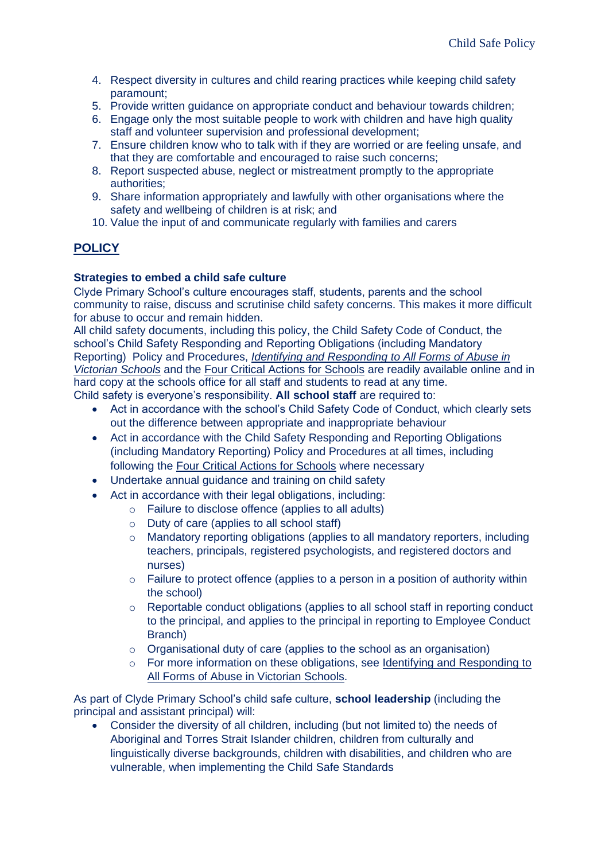- 4. Respect diversity in cultures and child rearing practices while keeping child safety paramount;
- 5. Provide written guidance on appropriate conduct and behaviour towards children;
- 6. Engage only the most suitable people to work with children and have high quality staff and volunteer supervision and professional development;
- 7. Ensure children know who to talk with if they are worried or are feeling unsafe, and that they are comfortable and encouraged to raise such concerns;
- 8. Report suspected abuse, neglect or mistreatment promptly to the appropriate authorities;
- 9. Share information appropriately and lawfully with other organisations where the safety and wellbeing of children is at risk; and
- 10. Value the input of and communicate regularly with families and carers

# **POLICY**

## **Strategies to embed a child safe culture**

Clyde Primary School's culture encourages staff, students, parents and the school community to raise, discuss and scrutinise child safety concerns. This makes it more difficult for abuse to occur and remain hidden.

All child safety documents, including this policy, the Child Safety Code of Conduct, the school's Child Safety Responding and Reporting Obligations (including Mandatory Reporting) Policy and Procedures, *[Identifying and Responding to All Forms of Abuse in](https://www.education.vic.gov.au/Documents/about/programs/health/protect/ChildSafeStandard5_SchoolsGuide.pdf)  [Victorian Schools](https://www.education.vic.gov.au/Documents/about/programs/health/protect/ChildSafeStandard5_SchoolsGuide.pdf)* and the [Four Critical Actions](https://www.education.vic.gov.au/Documents/about/programs/health/protect/FourCriticalActions_ChildAbuse.pdf) for Schools are readily available online and in hard copy at the schools office for all staff and students to read at any time. Child safety is everyone's responsibility. **All school staff** are required to:

- Act in accordance with the school's Child Safety Code of Conduct, which clearly sets out the difference between appropriate and inappropriate behaviour
- Act in accordance with the Child Safety Responding and Reporting Obligations (including Mandatory Reporting) Policy and Procedures at all times, including following the [Four Critical Actions for Schools](https://www.education.vic.gov.au/Documents/about/programs/health/protect/FourCriticalActions_ChildAbuse.pdf) where necessary
- Undertake annual guidance and training on child safety
- Act in accordance with their legal obligations, including:
	- o Failure to disclose offence (applies to all adults)
	- o Duty of care (applies to all school staff)
	- o Mandatory reporting obligations (applies to all mandatory reporters, including teachers, principals, registered psychologists, and registered doctors and nurses)
	- $\circ$  Failure to protect offence (applies to a person in a position of authority within the school)
	- o Reportable conduct obligations (applies to all school staff in reporting conduct to the principal, and applies to the principal in reporting to Employee Conduct Branch)
	- o Organisational duty of care (applies to the school as an organisation)
	- $\circ$  For more information on these obligations, see Identifying and Responding to [All Forms of Abuse in Victorian Schools.](https://www.education.vic.gov.au/Documents/about/programs/health/protect/ChildSafeStandard5_SchoolsGuide.pdf)

As part of Clyde Primary School's child safe culture, **school leadership** (including the principal and assistant principal) will:

• Consider the diversity of all children, including (but not limited to) the needs of Aboriginal and Torres Strait Islander children, children from culturally and linguistically diverse backgrounds, children with disabilities, and children who are vulnerable, when implementing the Child Safe Standards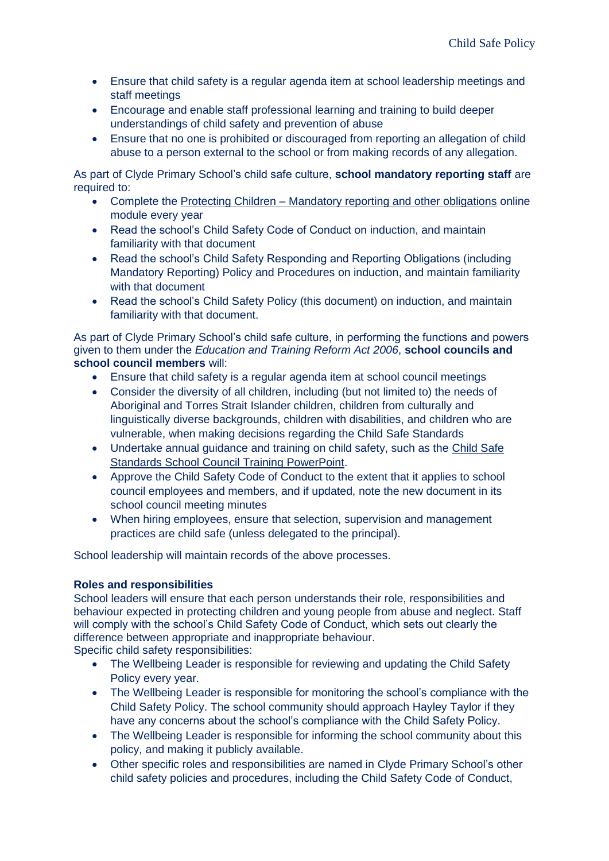- Ensure that child safety is a regular agenda item at school leadership meetings and staff meetings
- Encourage and enable staff professional learning and training to build deeper understandings of child safety and prevention of abuse
- Ensure that no one is prohibited or discouraged from reporting an allegation of child abuse to a person external to the school or from making records of any allegation.

As part of Clyde Primary School's child safe culture, **school mandatory reporting staff** are required to:

- Complete the Protecting Children [Mandatory reporting and other obligations](http://elearn.com.au/det/protectingchildren/) online module every year
- Read the school's Child Safety Code of Conduct on induction, and maintain familiarity with that document
- Read the school's Child Safety Responding and Reporting Obligations (including Mandatory Reporting) Policy and Procedures on induction, and maintain familiarity with that document
- Read the school's Child Safety Policy (this document) on induction, and maintain familiarity with that document.

As part of Clyde Primary School's child safe culture, in performing the functions and powers given to them under the *Education and Training Reform Act 2006*, **school councils and school council members** will:

- Ensure that child safety is a regular agenda item at school council meetings
- Consider the diversity of all children, including (but not limited to) the needs of Aboriginal and Torres Strait Islander children, children from culturally and linguistically diverse backgrounds, children with disabilities, and children who are vulnerable, when making decisions regarding the Child Safe Standards
- Undertake annual guidance and training on child safety, such as the [Child Safe](https://www.education.vic.gov.au/Documents/about/programs/health/protect/school-council-training.pptx)  [Standards School Council Training PowerPoint.](https://www.education.vic.gov.au/Documents/about/programs/health/protect/school-council-training.pptx)
- Approve the Child Safety Code of Conduct to the extent that it applies to school council employees and members, and if updated, note the new document in its school council meeting minutes
- When hiring employees, ensure that selection, supervision and management practices are child safe (unless delegated to the principal).

School leadership will maintain records of the above processes.

## **Roles and responsibilities**

School leaders will ensure that each person understands their role, responsibilities and behaviour expected in protecting children and young people from abuse and neglect. Staff will comply with the school's Child Safety Code of Conduct, which sets out clearly the difference between appropriate and inappropriate behaviour.

Specific child safety responsibilities:

- The Wellbeing Leader is responsible for reviewing and updating the Child Safety Policy every year.
- The Wellbeing Leader is responsible for monitoring the school's compliance with the Child Safety Policy. The school community should approach Hayley Taylor if they have any concerns about the school's compliance with the Child Safety Policy.
- The Wellbeing Leader is responsible for informing the school community about this policy, and making it publicly available.
- Other specific roles and responsibilities are named in Clyde Primary School's other child safety policies and procedures, including the Child Safety Code of Conduct,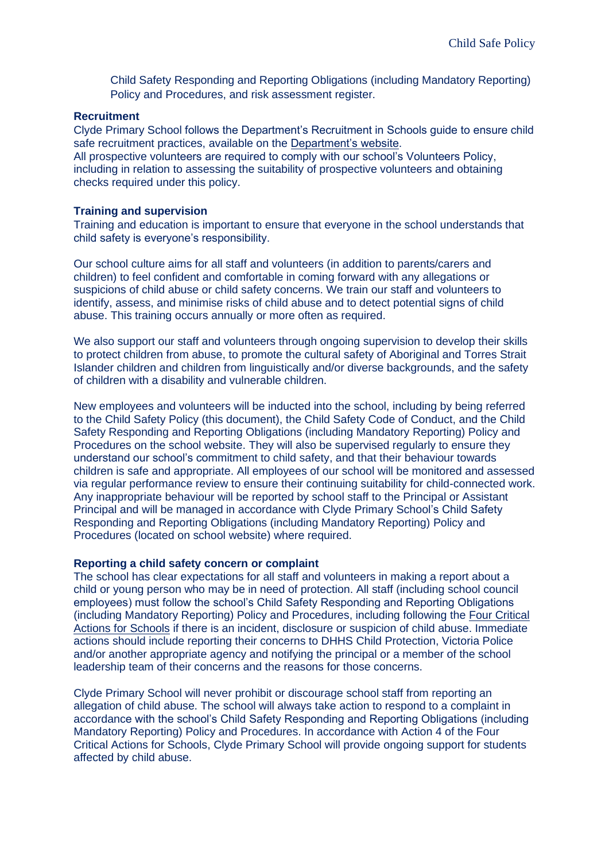Child Safety Responding and Reporting Obligations (including Mandatory Reporting) Policy and Procedures, and risk assessment register.

#### **Recruitment**

Clyde Primary School follows the Department's Recruitment in Schools guide to ensure child safe recruitment practices, available on the [Department's website.](https://www.education.vic.gov.au/hrweb/careers/Pages/recruitinsch.aspx)

All prospective volunteers are required to comply with our school's Volunteers Policy, including in relation to assessing the suitability of prospective volunteers and obtaining checks required under this policy.

#### **Training and supervision**

Training and education is important to ensure that everyone in the school understands that child safety is everyone's responsibility.

Our school culture aims for all staff and volunteers (in addition to parents/carers and children) to feel confident and comfortable in coming forward with any allegations or suspicions of child abuse or child safety concerns. We train our staff and volunteers to identify, assess, and minimise risks of child abuse and to detect potential signs of child abuse. This training occurs annually or more often as required.

We also support our staff and volunteers through ongoing supervision to develop their skills to protect children from abuse, to promote the cultural safety of Aboriginal and Torres Strait Islander children and children from linguistically and/or diverse backgrounds, and the safety of children with a disability and vulnerable children.

New employees and volunteers will be inducted into the school, including by being referred to the Child Safety Policy (this document), the Child Safety Code of Conduct, and the Child Safety Responding and Reporting Obligations (including Mandatory Reporting) Policy and Procedures on the school website. They will also be supervised regularly to ensure they understand our school's commitment to child safety, and that their behaviour towards children is safe and appropriate. All employees of our school will be monitored and assessed via regular performance review to ensure their continuing suitability for child-connected work. Any inappropriate behaviour will be reported by school staff to the Principal or Assistant Principal and will be managed in accordance with Clyde Primary School's Child Safety Responding and Reporting Obligations (including Mandatory Reporting) Policy and Procedures (located on school website) where required.

#### **Reporting a child safety concern or complaint**

The school has clear expectations for all staff and volunteers in making a report about a child or young person who may be in need of protection. All staff (including school council employees) must follow the school's Child Safety Responding and Reporting Obligations (including Mandatory Reporting) Policy and Procedures, including following the [Four Critical](https://www.education.vic.gov.au/Documents/about/programs/health/protect/FourCriticalActions_ChildAbuse.pdf)  [Actions for Schools](https://www.education.vic.gov.au/Documents/about/programs/health/protect/FourCriticalActions_ChildAbuse.pdf) if there is an incident, disclosure or suspicion of child abuse. Immediate actions should include reporting their concerns to DHHS Child Protection, Victoria Police and/or another appropriate agency and notifying the principal or a member of the school leadership team of their concerns and the reasons for those concerns.

Clyde Primary School will never prohibit or discourage school staff from reporting an allegation of child abuse. The school will always take action to respond to a complaint in accordance with the school's Child Safety Responding and Reporting Obligations (including Mandatory Reporting) Policy and Procedures. In accordance with Action 4 of the Four Critical Actions for Schools, Clyde Primary School will provide ongoing support for students affected by child abuse.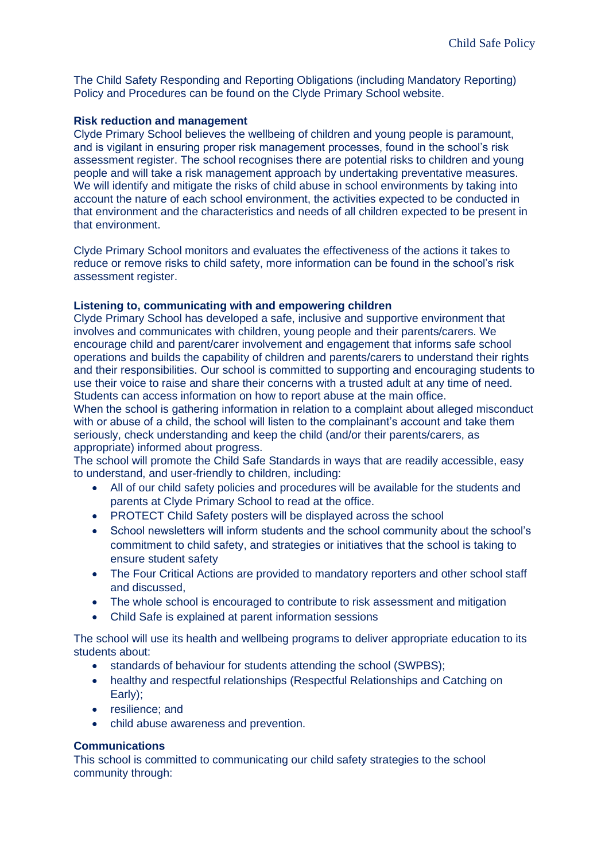The Child Safety Responding and Reporting Obligations (including Mandatory Reporting) Policy and Procedures can be found on the Clyde Primary School website.

#### **Risk reduction and management**

Clyde Primary School believes the wellbeing of children and young people is paramount, and is vigilant in ensuring proper risk management processes, found in the school's risk assessment register. The school recognises there are potential risks to children and young people and will take a risk management approach by undertaking preventative measures. We will identify and mitigate the risks of child abuse in school environments by taking into account the nature of each school environment, the activities expected to be conducted in that environment and the characteristics and needs of all children expected to be present in that environment.

Clyde Primary School monitors and evaluates the effectiveness of the actions it takes to reduce or remove risks to child safety, more information can be found in the school's risk assessment register.

#### **Listening to, communicating with and empowering children**

Clyde Primary School has developed a safe, inclusive and supportive environment that involves and communicates with children, young people and their parents/carers. We encourage child and parent/carer involvement and engagement that informs safe school operations and builds the capability of children and parents/carers to understand their rights and their responsibilities. Our school is committed to supporting and encouraging students to use their voice to raise and share their concerns with a trusted adult at any time of need. Students can access information on how to report abuse at the main office.

When the school is gathering information in relation to a complaint about alleged misconduct with or abuse of a child, the school will listen to the complainant's account and take them seriously, check understanding and keep the child (and/or their parents/carers, as appropriate) informed about progress.

The school will promote the Child Safe Standards in ways that are readily accessible, easy to understand, and user-friendly to children, including:

- All of our child safety policies and procedures will be available for the students and parents at Clyde Primary School to read at the office.
- PROTECT Child Safety posters will be displayed across the school
- School newsletters will inform students and the school community about the school's commitment to child safety, and strategies or initiatives that the school is taking to ensure student safety
- The Four Critical Actions are provided to mandatory reporters and other school staff and discussed,
- The whole school is encouraged to contribute to risk assessment and mitigation
- Child Safe is explained at parent information sessions

The school will use its health and wellbeing programs to deliver appropriate education to its students about:

- standards of behaviour for students attending the school (SWPBS):
- healthy and respectful relationships (Respectful Relationships and Catching on Early);
- resilience; and
- child abuse awareness and prevention.

## **Communications**

This school is committed to communicating our child safety strategies to the school community through: